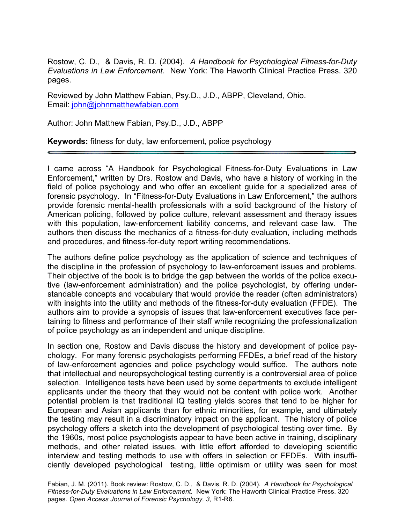Rostow, C. D., & Davis, R. D. (2004). *A Handbook for Psychological Fitness-for-Duty Evaluations in Law Enforcement.* New York: The Haworth Clinical Practice Press. 320 pages.

Reviewed by John Matthew Fabian, Psy.D., J.D., ABPP, Cleveland, Ohio. Email: john@johnmatthewfabian.com

Author: John Matthew Fabian, Psy.D., J.D., ABPP

**Keywords:** fitness for duty, law enforcement, police psychology

I came across "A Handbook for Psychological Fitness-for-Duty Evaluations in Law Enforcement," written by Drs. Rostow and Davis, who have a history of working in the field of police psychology and who offer an excellent guide for a specialized area of forensic psychology. In "Fitness-for-Duty Evaluations in Law Enforcement," the authors provide forensic mental-health professionals with a solid background of the history of American policing, followed by police culture, relevant assessment and therapy issues with this population, law-enforcement liability concerns, and relevant case law. The authors then discuss the mechanics of a fitness-for-duty evaluation, including methods and procedures, and fitness-for-duty report writing recommendations.

The authors define police psychology as the application of science and techniques of the discipline in the profession of psychology to law-enforcement issues and problems. Their objective of the book is to bridge the gap between the worlds of the police executive (law-enforcement administration) and the police psychologist, by offering understandable concepts and vocabulary that would provide the reader (often administrators) with insights into the utility and methods of the fitness-for-duty evaluation (FFDE). The authors aim to provide a synopsis of issues that law-enforcement executives face pertaining to fitness and performance of their staff while recognizing the professionalization of police psychology as an independent and unique discipline.

In section one, Rostow and Davis discuss the history and development of police psychology. For many forensic psychologists performing FFDEs, a brief read of the history of law-enforcement agencies and police psychology would suffice. The authors note that intellectual and neuropsychological testing currently is a controversial area of police selection. Intelligence tests have been used by some departments to exclude intelligent applicants under the theory that they would not be content with police work. Another potential problem is that traditional IQ testing yields scores that tend to be higher for European and Asian applicants than for ethnic minorities, for example, and ultimately the testing may result in a discriminatory impact on the applicant. The history of police psychology offers a sketch into the development of psychological testing over time. By the 1960s, most police psychologists appear to have been active in training, disciplinary methods, and other related issues, with little effort afforded to developing scientific interview and testing methods to use with offers in selection or FFDEs. With insufficiently developed psychological testing, little optimism or utility was seen for most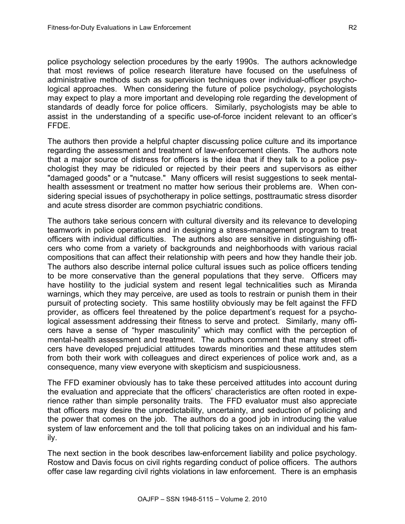police psychology selection procedures by the early 1990s. The authors acknowledge that most reviews of police research literature have focused on the usefulness of administrative methods such as supervision techniques over individual-officer psychological approaches. When considering the future of police psychology, psychologists may expect to play a more important and developing role regarding the development of standards of deadly force for police officers. Similarly, psychologists may be able to assist in the understanding of a specific use-of-force incident relevant to an officer's FFDE.

The authors then provide a helpful chapter discussing police culture and its importance regarding the assessment and treatment of law-enforcement clients. The authors note that a major source of distress for officers is the idea that if they talk to a police psychologist they may be ridiculed or rejected by their peers and supervisors as either "damaged goods" or a "nutcase." Many officers will resist suggestions to seek mentalhealth assessment or treatment no matter how serious their problems are. When considering special issues of psychotherapy in police settings, posttraumatic stress disorder and acute stress disorder are common psychiatric conditions.

The authors take serious concern with cultural diversity and its relevance to developing teamwork in police operations and in designing a stress-management program to treat officers with individual difficulties. The authors also are sensitive in distinguishing officers who come from a variety of backgrounds and neighborhoods with various racial compositions that can affect their relationship with peers and how they handle their job. The authors also describe internal police cultural issues such as police officers tending to be more conservative than the general populations that they serve. Officers may have hostility to the judicial system and resent legal technicalities such as Miranda warnings, which they may perceive, are used as tools to restrain or punish them in their pursuit of protecting society. This same hostility obviously may be felt against the FFD provider, as officers feel threatened by the police department's request for a psychological assessment addressing their fitness to serve and protect. Similarly, many officers have a sense of "hyper masculinity" which may conflict with the perception of mental-health assessment and treatment. The authors comment that many street officers have developed prejudicial attitudes towards minorities and these attitudes stem from both their work with colleagues and direct experiences of police work and, as a consequence, many view everyone with skepticism and suspiciousness.

The FFD examiner obviously has to take these perceived attitudes into account during the evaluation and appreciate that the officers' characteristics are often rooted in experience rather than simple personality traits. The FFD evaluator must also appreciate that officers may desire the unpredictability, uncertainty, and seduction of policing and the power that comes on the job. The authors do a good job in introducing the value system of law enforcement and the toll that policing takes on an individual and his family.

The next section in the book describes law-enforcement liability and police psychology. Rostow and Davis focus on civil rights regarding conduct of police officers. The authors offer case law regarding civil rights violations in law enforcement. There is an emphasis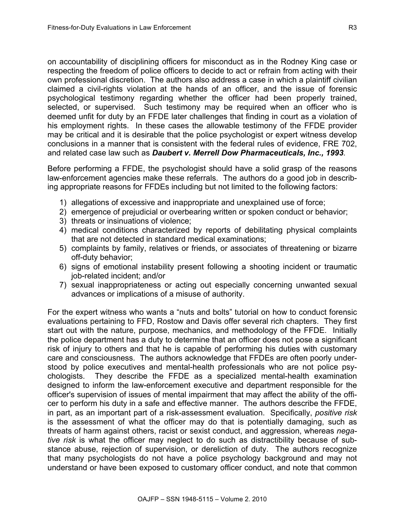on accountability of disciplining officers for misconduct as in the Rodney King case or respecting the freedom of police officers to decide to act or refrain from acting with their own professional discretion. The authors also address a case in which a plaintiff civilian claimed a civil-rights violation at the hands of an officer, and the issue of forensic psychological testimony regarding whether the officer had been properly trained, selected, or supervised. Such testimony may be required when an officer who is deemed unfit for duty by an FFDE later challenges that finding in court as a violation of his employment rights. In these cases the allowable testimony of the FFDE provider may be critical and it is desirable that the police psychologist or expert witness develop conclusions in a manner that is consistent with the federal rules of evidence, FRE 702, and related case law such as *Daubert v. Merrell Dow Pharmaceuticals, Inc., 1993.*

Before performing a FFDE, the psychologist should have a solid grasp of the reasons law-enforcement agencies make these referrals. The authors do a good job in describing appropriate reasons for FFDEs including but not limited to the following factors:

- 1) allegations of excessive and inappropriate and unexplained use of force;
- 2) emergence of prejudicial or overbearing written or spoken conduct or behavior;
- 3) threats or insinuations of violence;
- 4) medical conditions characterized by reports of debilitating physical complaints that are not detected in standard medical examinations;
- 5) complaints by family, relatives or friends, or associates of threatening or bizarre off-duty behavior;
- 6) signs of emotional instability present following a shooting incident or traumatic job-related incident; and/or
- 7) sexual inappropriateness or acting out especially concerning unwanted sexual advances or implications of a misuse of authority.

For the expert witness who wants a "nuts and bolts" tutorial on how to conduct forensic evaluations pertaining to FFD, Rostow and Davis offer several rich chapters. They first start out with the nature, purpose, mechanics, and methodology of the FFDE. Initially the police department has a duty to determine that an officer does not pose a significant risk of injury to others and that he is capable of performing his duties with customary care and consciousness. The authors acknowledge that FFDEs are often poorly understood by police executives and mental-health professionals who are not police psychologists. They describe the FFDE as a specialized mental-health examination designed to inform the law-enforcement executive and department responsible for the officer's supervision of issues of mental impairment that may affect the ability of the officer to perform his duty in a safe and effective manner. The authors describe the FFDE, in part, as an important part of a risk-assessment evaluation. Specifically, *positive risk* is the assessment of what the officer may do that is potentially damaging, such as threats of harm against others, racist or sexist conduct, and aggression, whereas *negative risk* is what the officer may neglect to do such as distractibility because of substance abuse, rejection of supervision, or dereliction of duty. The authors recognize that many psychologists do not have a police psychology background and may not understand or have been exposed to customary officer conduct, and note that common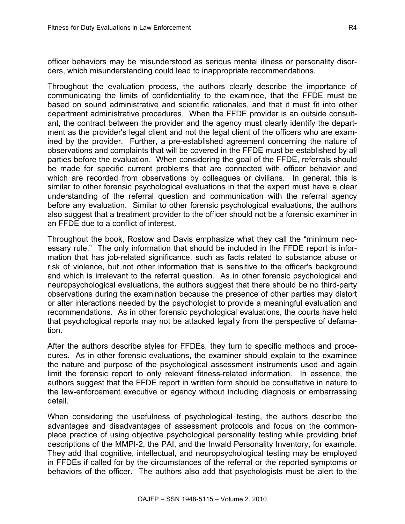officer behaviors may be misunderstood as serious mental illness or personality disorders, which misunderstanding could lead to inappropriate recommendations.

Throughout the evaluation process, the authors clearly describe the importance of communicating the limits of confidentiality to the examinee, that the FFDE must be based on sound administrative and scientific rationales, and that it must fit into other department administrative procedures. When the FFDE provider is an outside consultant, the contract between the provider and the agency must clearly identify the department as the provider's legal client and not the legal client of the officers who are examined by the provider. Further, a pre-established agreement concerning the nature of observations and complaints that will be covered in the FFDE must be established by all parties before the evaluation. When considering the goal of the FFDE, referrals should be made for specific current problems that are connected with officer behavior and which are recorded from observations by colleagues or civilians. In general, this is similar to other forensic psychological evaluations in that the expert must have a clear understanding of the referral question and communication with the referral agency before any evaluation. Similar to other forensic psychological evaluations, the authors also suggest that a treatment provider to the officer should not be a forensic examiner in an FFDE due to a conflict of interest.

Throughout the book, Rostow and Davis emphasize what they call the "minimum necessary rule." The only information that should be included in the FFDE report is information that has job-related significance, such as facts related to substance abuse or risk of violence, but not other information that is sensitive to the officer's background and which is irrelevant to the referral question. As in other forensic psychological and neuropsychological evaluations, the authors suggest that there should be no third-party observations during the examination because the presence of other parties may distort or alter interactions needed by the psychologist to provide a meaningful evaluation and recommendations. As in other forensic psychological evaluations, the courts have held that psychological reports may not be attacked legally from the perspective of defamation.

After the authors describe styles for FFDEs, they turn to specific methods and procedures. As in other forensic evaluations, the examiner should explain to the examinee the nature and purpose of the psychological assessment instruments used and again limit the forensic report to only relevant fitness-related information. In essence, the authors suggest that the FFDE report in written form should be consultative in nature to the law-enforcement executive or agency without including diagnosis or embarrassing detail.

When considering the usefulness of psychological testing, the authors describe the advantages and disadvantages of assessment protocols and focus on the commonplace practice of using objective psychological personality testing while providing brief descriptions of the MMPI-2, the PAI, and the Inwald Personality Inventory, for example. They add that cognitive, intellectual, and neuropsychological testing may be employed in FFDEs if called for by the circumstances of the referral or the reported symptoms or behaviors of the officer. The authors also add that psychologists must be alert to the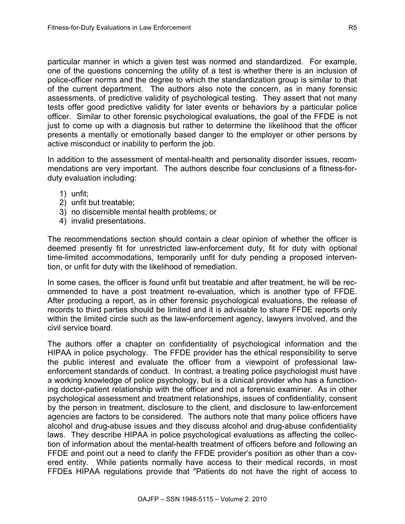particular manner in which a given test was normed and standardized. For example, one of the questions concerning the utility of a test is whether there is an inclusion of police-officer norms and the degree to which the standardization group is similar to that of the current department. The authors also note the concern, as in many forensic assessments, of predictive validity of psychological testing. They assert that not many tests offer good predictive validity for later events or behaviors by a particular police officer. Similar to other forensic psychological evaluations, the goal of the FFDE is not just to come up with a diagnosis but rather to determine the likelihood that the officer presents a mentally or emotionally based danger to the employer or other persons by active misconduct or inability to perform the job.

In addition to the assessment of mental-health and personality disorder issues, recommendations are very important. The authors describe four conclusions of a fitness-forduty evaluation including:

- 1) unfit;
- 2) unfit but treatable;
- 3) no discernible mental health problems; or
- 4) invalid presentations.

The recommendations section should contain a clear opinion of whether the officer is deemed presently fit for unrestricted law-enforcement duty, fit for duty with optional time-limited accommodations, temporarily unfit for duty pending a proposed intervention, or unfit for duty with the likelihood of remediation.

In some cases, the officer is found unfit but treatable and after treatment, he will be recommended to have a post treatment re-evaluation, which is another type of FFDE. After producing a report, as in other forensic psychological evaluations, the release of records to third parties should be limited and it is advisable to share FFDE reports only within the limited circle such as the law-enforcement agency, lawyers involved, and the civil service board.

The authors offer a chapter on confidentiality of psychological information and the HIPAA in police psychology. The FFDE provider has the ethical responsibility to serve the public interest and evaluate the officer from a viewpoint of professional lawenforcement standards of conduct. In contrast, a treating police psychologist must have a working knowledge of police psychology, but is a clinical provider who has a functioning doctor-patient relationship with the officer and not a forensic examiner. As in other psychological assessment and treatment relationships, issues of confidentiality, consent by the person in treatment, disclosure to the client, and disclosure to law-enforcement agencies are factors to be considered. The authors note that many police officers have alcohol and drug-abuse issues and they discuss alcohol and drug-abuse confidentiality laws. They describe HIPAA in police psychological evaluations as affecting the collection of information about the mental-health treatment of officers before and following an FFDE and point out a need to clarify the FFDE provider's position as other than a covered entity. While patients normally have access to their medical records, in most FFDEs HIPAA regulations provide that "Patients do not have the right of access to